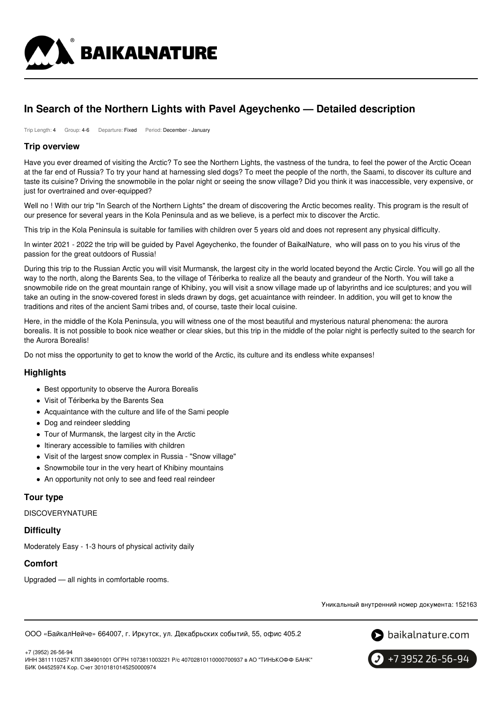

# **In Search of the Northern Lights with Pavel Ageychenko — Detailed description**

Trip Length: 4 Group: 4-6 Departure: Fixed Period: December - January

### **Trip overview**

Have you ever dreamed of visiting the Arctic? To see the Northern Lights, the vastness of the tundra, to feel the power of the Arctic Ocean at the far end of Russia? To try your hand at harnessing sled dogs? To meet the people of the north, the Saami, to discover its culture and taste its cuisine? Driving the snowmobile in the polar night or seeing the snow village? Did you think it was inaccessible, very expensive, or just for overtrained and over-equipped?

Well no ! With our trip "In Search of the Northern Lights" the dream of discovering the Arctic becomes reality. This program is the result of our presence for several years in the Kola Peninsula and as we believe, is a perfect mix to discover the Arctic.

This trip in the Kola Peninsula is suitable for families with children over 5 years old and does not represent any physical difficulty.

In winter 2021 - 2022 the trip will be guided by Pavel Ageychenko, the founder of BaikalNature, who will pass on to you his virus of the passion for the great outdoors of Russia!

During this trip to the Russian Arctic you will visit Murmansk, the largest city in the world located beyond the Arctic Circle. You will go all the way to the north, along the Barents Sea, to the village of Tériberka to realize all the beauty and grandeur of the North. You will take a snowmobile ride on the great mountain range of Khibiny, you will visit a snow village made up of labyrinths and ice sculptures; and you will take an outing in the snow-covered forest in sleds drawn by dogs, get acuaintance with reindeer. In addition, you will get to know the traditions and rites of the ancient Sami tribes and, of course, taste their local cuisine.

Here, in the middle of the Kola Peninsula, you will witness one of the most beautiful and mysterious natural phenomena: the aurora borealis. It is not possible to book nice weather or clear skies, but this trip in the middle of the polar night is perfectly suited to the search for the Aurora Borealis!

Do not miss the opportunity to get to know the world of the Arctic, its culture and its endless white expanses!

### **Highlights**

- Best opportunity to observe the Aurora Borealis
- Visit of Tériberka by the Barents Sea
- Acquaintance with the culture and life of the Sami people
- Dog and reindeer sledding
- Tour of Murmansk, the largest city in the Arctic
- $\bullet$  Itinerary accessible to families with children
- Visit of the largest snow complex in Russia "Snow village"
- Snowmobile tour in the very heart of Khibiny mountains
- An opportunity not only to see and feed real reindeer

# **Tour type**

**DISCOVERYNATURE** 

### **Difficulty**

Moderately Easy - 1-3 hours of physical activity daily

# **Comfort**

Upgraded — all nights in comfortable rooms.

Уникальный внутренний номер документа: 152163

ООО «БайкалНейче» 664007, г. Иркутск, ул. Декабрьских событий, 55, офис 405.2





+7 (3952) 26-56-94 ИНН 3811110257 КПП 384901001 ОГРН 1073811003221 Р/с 40702810110000700937 в АО "ТИНЬКОФФ БАНК" БИК 044525974 Кор. Счет 30101810145250000974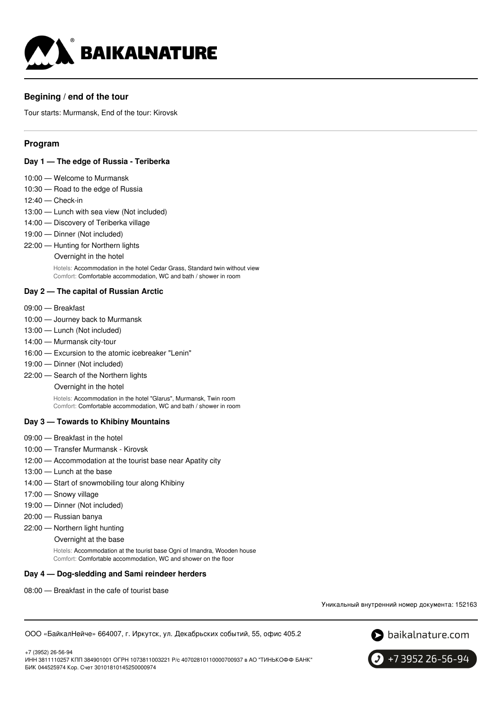

# **Begining / end of the tour**

Tour starts: Murmansk, End of the tour: Kirovsk

### **Program**

#### **Day 1 — The edge of Russia - Teriberka**

- 10:00 Welcome to Murmansk
- 10:30 Road to the edge of Russia
- 12:40 Check-in
- 13:00 Lunch with sea view (Not included)
- 14:00 Discovery of Teriberka village
- 19:00 Dinner (Not included)
- 22:00 Hunting for Northern lights
	- Overnight in the hotel

Hotels: Accommodation in the hotel Cedar Grass, Standard twin without view Comfort: Comfortable accommodation, WC and bath / shower in room

#### **Day 2 — The capital of Russian Arctic**

- 09:00 Breakfast
- 10:00 Journey back to Murmansk
- 13:00 Lunch (Not included)
- 14:00 Murmansk city-tour
- 16:00 Excursion to the atomic icebreaker "Lenin"
- 19:00 Dinner (Not included)
- 22:00 Search of the Northern lights

Overnight in the hotel

Hotels: Accommodation in the hotel "Glarus", Murmansk, Twin room Comfort: Comfortable accommodation, WC and bath / shower in room

#### **Day 3 — Towards to Khibiny Mountains**

- 09:00 Breakfast in the hotel
- 10:00 Transfer Murmansk Kirovsk
- 12:00 Accommodation at the tourist base near Apatity city
- 13:00 Lunch at the base
- 14:00 Start of snowmobiling tour along Khibiny
- 17:00 Snowy village
- 19:00 Dinner (Not included)
- 20:00 Russian banya
- 22:00 Northern light hunting
	- Overnight at the base

Hotels: Accommodation at the tourist base Ogni of Imandra, Wooden house Comfort: Comfortable accommodation, WC and shower on the floor

#### **Day 4 — Dog-sledding and Sami reindeer herders**

08:00 — Breakfast in the cafe of tourist base

Уникальный внутренний номер документа: 152163

ООО «БайкалНейче» 664007, г. Иркутск, ул. Декабрьских событий, 55, офис 405.2





+7 3952 26-56-94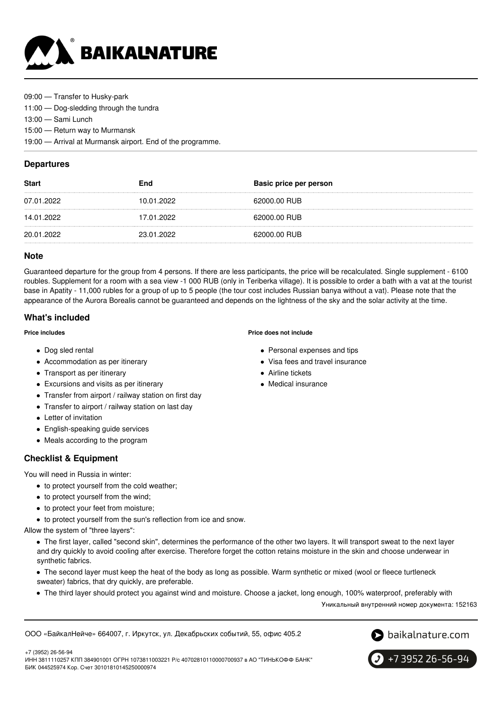

09:00 — Transfer to Husky-park

11:00 — Dog-sledding through the tundra

13:00 — Sami Lunch

15:00 — Return way to Murmansk

19:00 — Arrival at Murmansk airport. End of the programme.

### **Departures**

| <b>Start</b> | End        | Basic price per person |
|--------------|------------|------------------------|
| 07.01.2022   | 10.01.2022 | 62000.00 RUB           |
| 14.01.2022   | 17.01.2022 | 62000.00 RUB           |
| 20.01.2022   | 23.01.2022 | 62000.00 RUB           |

### **Note**

Guaranteed departure for the group from 4 persons. If there are less participants, the price will be recalculated. Single supplement - 6100 roubles. Supplement for a room with a sea view -1 000 RUB (only in Teriberka village). It is possible to order a bath with a vat at the tourist base in Apatity - 11,000 rubles for a group of up to 5 people (the tour cost includes Russian banya without a vat). Please note that the appearance of the Aurora Borealis cannot be guaranteed and depends on the lightness of the sky and the solar activity at the time.

# **What's included**

#### **Price includes**

- Dog sled rental
- Accommodation as per itinerary
- Transport as per itinerary
- Excursions and visits as per itinerary
- Transfer from airport / railway station on first day
- Transfer to airport / railway station on last day
- Letter of invitation
- English-speaking guide services
- Meals according to the program

# **Checklist & Equipment**

You will need in Russia in winter:

- to protect yourself from the cold weather;
- to protect yourself from the wind;
- to protect your feet from moisture;
- to protect yourself from the sun's reflection from ice and snow.

Allow the system of "three layers":

The first layer, called "second skin", determines the performance of the other two layers. It will transport sweat to the next layer and dry quickly to avoid cooling after exercise. Therefore forget the cotton retains moisture in the skin and choose underwear in synthetic fabrics.

- The second layer must keep the heat of the body as long as possible. Warm synthetic or mixed (wool or fleece turtleneck sweater) fabrics, that dry quickly, are preferable.
- The third layer should protect you against wind and moisture. Choose a jacket, long enough, 100% waterproof, preferably with

Уникальный внутренний номер документа: 152163

ООО «БайкалНейче» 664007, г. Иркутск, ул. Декабрьских событий, 55, офис 405.2





+7 (3952) 26-56-94 ИНН 3811110257 КПП 384901001 ОГРН 1073811003221 Р/с 40702810110000700937 в АО "ТИНЬКОФФ БАНК" БИК 044525974 Кор. Счет 30101810145250000974

**Price does not include**

- Personal expenses and tips
- Visa fees and travel insurance
- Airline tickets
- Medical insurance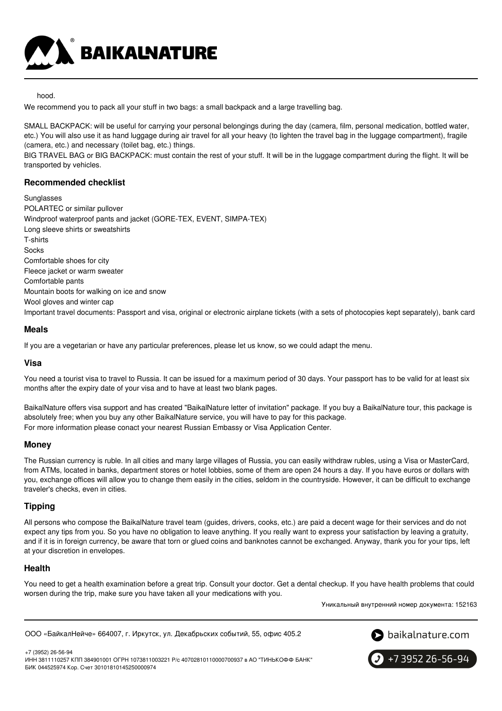

hood.

We recommend you to pack all your stuff in two bags: a small backpack and a large travelling bag.

SMALL BACKPACK: will be useful for carrying your personal belongings during the day (camera, film, personal medication, bottled water, etc.) You will also use it as hand luggage during air travel for all your heavy (to lighten the travel bag in the luggage compartment), fragile (camera, etc.) and necessary (toilet bag, etc.) things.

BIG TRAVEL BAG or BIG BACKPACK: must contain the rest of your stuff. It will be in the luggage compartment during the flight. It will be transported by vehicles.

# **Recommended checklist**

**Sunglasses** POLARTEC or similar pullover Windproof waterproof pants and jacket (GORE-TEX, EVENT, SIMPA-TEX) Long sleeve shirts or sweatshirts T-shirts Socks Comfortable shoes for city Fleece jacket or warm sweater Comfortable pants Mountain boots for walking on ice and snow Wool gloves and winter cap Important travel documents: Passport and visa, original or electronic airplane tickets (with a sets of photocopies kept separately), bank card

### **Meals**

If you are a vegetarian or have any particular preferences, please let us know, so we could adapt the menu.

### **Visa**

You need a tourist visa to travel to Russia. It can be issued for a maximum period of 30 days. Your passport has to be valid for at least six months after the expiry date of your visa and to have at least two blank pages.

BaikalNature offers visa support and has created "BaikalNature letter of invitation" package. If you buy a BaikalNature tour, this package is absolutely free; when you buy any other BaikalNature service, you will have to pay for this package. For more information please conact your nearest Russian Embassy or Visa Application Center.

### **Money**

The Russian currency is ruble. In all cities and many large villages of Russia, you can easily withdraw rubles, using a Visa or MasterCard, from ATMs, located in banks, department stores or hotel lobbies, some of them are open 24 hours a day. If you have euros or dollars with you, exchange offices will allow you to change them easily in the cities, seldom in the countryside. However, it can be difficult to exchange traveler's checks, even in cities.

# **Tipping**

All persons who compose the BaikalNature travel team (guides, drivers, cooks, etc.) are paid a decent wage for their services and do not expect any tips from you. So you have no obligation to leave anything. If you really want to express your satisfaction by leaving a gratuity, and if it is in foreign currency, be aware that torn or glued coins and banknotes cannot be exchanged. Anyway, thank you for your tips, left at your discretion in envelopes.

### **Health**

You need to get a health examination before a great trip. Consult your doctor. Get a dental checkup. If you have health problems that could worsen during the trip, make sure you have taken all your medications with you.

Уникальный внутренний номер документа: 152163

ООО «БайкалНейче» 664007, г. Иркутск, ул. Декабрьских событий, 55, офис 405.2



+7 (3952) 26-56-94 ИНН 3811110257 КПП 384901001 ОГРН 1073811003221 Р/с 40702810110000700937 в АО "ТИНЬКОФФ БАНК" БИК 044525974 Кор. Счет 30101810145250000974